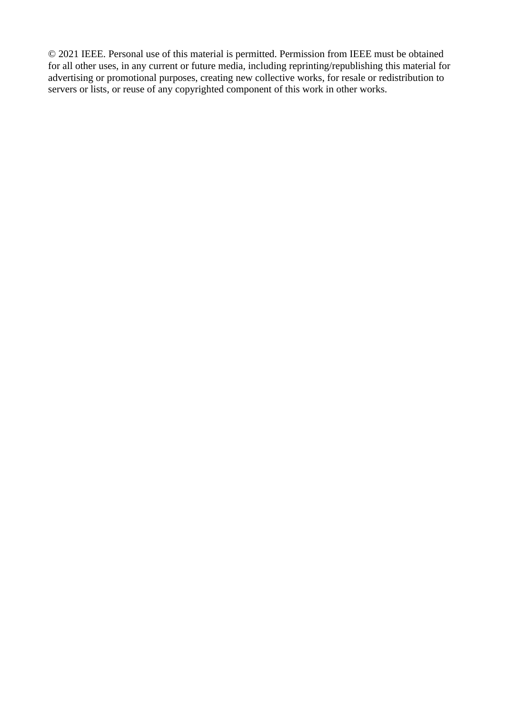© 2021 IEEE. Personal use of this material is permitted. Permission from IEEE must be obtained for all other uses, in any current or future media, including reprinting/republishing this material for advertising or promotional purposes, creating new collective works, for resale or redistribution to servers or lists, or reuse of any copyrighted component of this work in other works.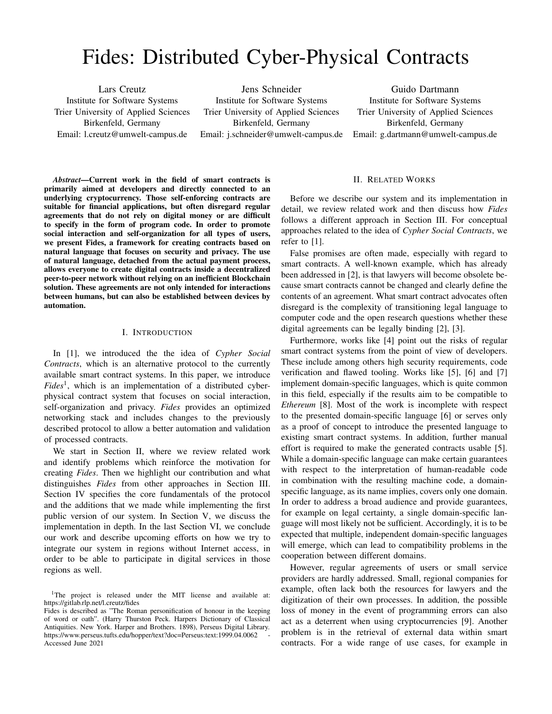# Fides: Distributed Cyber-Physical Contracts

Lars Creutz Institute for Software Systems Trier University of Applied Sciences Birkenfeld, Germany Email: l.creutz@umwelt-campus.de

Jens Schneider Institute for Software Systems Trier University of Applied Sciences Birkenfeld, Germany Email: j.schneider@umwelt-campus.de

Guido Dartmann Institute for Software Systems Trier University of Applied Sciences Birkenfeld, Germany Email: g.dartmann@umwelt-campus.de

*Abstract*—Current work in the field of smart contracts is primarily aimed at developers and directly connected to an underlying cryptocurrency. Those self-enforcing contracts are suitable for financial applications, but often disregard regular agreements that do not rely on digital money or are difficult to specify in the form of program code. In order to promote social interaction and self-organization for all types of users, we present Fides, a framework for creating contracts based on natural language that focuses on security and privacy. The use of natural language, detached from the actual payment process, allows everyone to create digital contracts inside a decentralized peer-to-peer network without relying on an inefficient Blockchain solution. These agreements are not only intended for interactions between humans, but can also be established between devices by automation.

### I. INTRODUCTION

In [1], we introduced the the idea of *Cypher Social Contracts*, which is an alternative protocol to the currently available smart contract systems. In this paper, we introduce *Fides*<sup>1</sup> , which is an implementation of a distributed cyberphysical contract system that focuses on social interaction, self-organization and privacy. *Fides* provides an optimized networking stack and includes changes to the previously described protocol to allow a better automation and validation of processed contracts.

We start in Section II, where we review related work and identify problems which reinforce the motivation for creating *Fides*. Then we highlight our contribution and what distinguishes *Fides* from other approaches in Section III. Section IV specifies the core fundamentals of the protocol and the additions that we made while implementing the first public version of our system. In Section V, we discuss the implementation in depth. In the last Section VI, we conclude our work and describe upcoming efforts on how we try to integrate our system in regions without Internet access, in order to be able to participate in digital services in those regions as well.

# II. RELATED WORKS

Before we describe our system and its implementation in detail, we review related work and then discuss how *Fides* follows a different approach in Section III. For conceptual approaches related to the idea of *Cypher Social Contracts*, we refer to [1].

False promises are often made, especially with regard to smart contracts. A well-known example, which has already been addressed in [2], is that lawyers will become obsolete because smart contracts cannot be changed and clearly define the contents of an agreement. What smart contract advocates often disregard is the complexity of transitioning legal language to computer code and the open research questions whether these digital agreements can be legally binding [2], [3].

Furthermore, works like [4] point out the risks of regular smart contract systems from the point of view of developers. These include among others high security requirements, code verification and flawed tooling. Works like [5], [6] and [7] implement domain-specific languages, which is quite common in this field, especially if the results aim to be compatible to *Ethereum* [8]. Most of the work is incomplete with respect to the presented domain-specific language [6] or serves only as a proof of concept to introduce the presented language to existing smart contract systems. In addition, further manual effort is required to make the generated contracts usable [5]. While a domain-specific language can make certain guarantees with respect to the interpretation of human-readable code in combination with the resulting machine code, a domainspecific language, as its name implies, covers only one domain. In order to address a broad audience and provide guarantees, for example on legal certainty, a single domain-specific language will most likely not be sufficient. Accordingly, it is to be expected that multiple, independent domain-specific languages will emerge, which can lead to compatibility problems in the cooperation between different domains.

However, regular agreements of users or small service providers are hardly addressed. Small, regional companies for example, often lack both the resources for lawyers and the digitization of their own processes. In addition, the possible loss of money in the event of programming errors can also act as a deterrent when using cryptocurrencies [9]. Another problem is in the retrieval of external data within smart contracts. For a wide range of use cases, for example in

<sup>&</sup>lt;sup>1</sup>The project is released under the MIT license and available at: https://gitlab.rlp.net/l.creutz/fides

Fides is described as "The Roman personification of honour in the keeping of word or oath". (Harry Thurston Peck. Harpers Dictionary of Classical Antiquities. New York. Harper and Brothers. 1898), Perseus Digital Library. https://www.perseus.tufts.edu/hopper/text?doc=Perseus:text:1999.04.0062 Accessed June 2021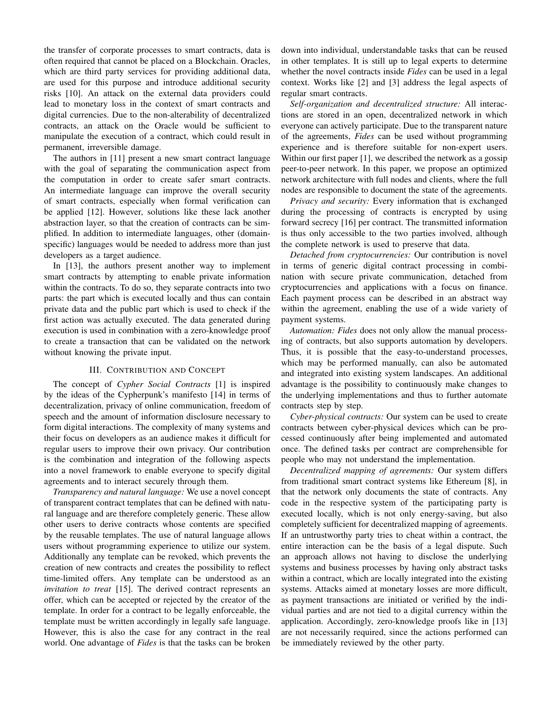the transfer of corporate processes to smart contracts, data is often required that cannot be placed on a Blockchain. Oracles, which are third party services for providing additional data, are used for this purpose and introduce additional security risks [10]. An attack on the external data providers could lead to monetary loss in the context of smart contracts and digital currencies. Due to the non-alterability of decentralized contracts, an attack on the Oracle would be sufficient to manipulate the execution of a contract, which could result in permanent, irreversible damage.

The authors in [11] present a new smart contract language with the goal of separating the communication aspect from the computation in order to create safer smart contracts. An intermediate language can improve the overall security of smart contracts, especially when formal verification can be applied [12]. However, solutions like these lack another abstraction layer, so that the creation of contracts can be simplified. In addition to intermediate languages, other (domainspecific) languages would be needed to address more than just developers as a target audience.

In [13], the authors present another way to implement smart contracts by attempting to enable private information within the contracts. To do so, they separate contracts into two parts: the part which is executed locally and thus can contain private data and the public part which is used to check if the first action was actually executed. The data generated during execution is used in combination with a zero-knowledge proof to create a transaction that can be validated on the network without knowing the private input.

# III. CONTRIBUTION AND CONCEPT

The concept of *Cypher Social Contracts* [1] is inspired by the ideas of the Cypherpunk's manifesto [14] in terms of decentralization, privacy of online communication, freedom of speech and the amount of information disclosure necessary to form digital interactions. The complexity of many systems and their focus on developers as an audience makes it difficult for regular users to improve their own privacy. Our contribution is the combination and integration of the following aspects into a novel framework to enable everyone to specify digital agreements and to interact securely through them.

*Transparency and natural language:* We use a novel concept of transparent contract templates that can be defined with natural language and are therefore completely generic. These allow other users to derive contracts whose contents are specified by the reusable templates. The use of natural language allows users without programming experience to utilize our system. Additionally any template can be revoked, which prevents the creation of new contracts and creates the possibility to reflect time-limited offers. Any template can be understood as an *invitation to treat* [15]. The derived contract represents an offer, which can be accepted or rejected by the creator of the template. In order for a contract to be legally enforceable, the template must be written accordingly in legally safe language. However, this is also the case for any contract in the real world. One advantage of *Fides* is that the tasks can be broken down into individual, understandable tasks that can be reused in other templates. It is still up to legal experts to determine whether the novel contracts inside *Fides* can be used in a legal context. Works like [2] and [3] address the legal aspects of regular smart contracts.

*Self-organization and decentralized structure:* All interactions are stored in an open, decentralized network in which everyone can actively participate. Due to the transparent nature of the agreements, *Fides* can be used without programming experience and is therefore suitable for non-expert users. Within our first paper [1], we described the network as a gossip peer-to-peer network. In this paper, we propose an optimized network architecture with full nodes and clients, where the full nodes are responsible to document the state of the agreements.

*Privacy and security:* Every information that is exchanged during the processing of contracts is encrypted by using forward secrecy [16] per contract. The transmitted information is thus only accessible to the two parties involved, although the complete network is used to preserve that data.

*Detached from cryptocurrencies:* Our contribution is novel in terms of generic digital contract processing in combination with secure private communication, detached from cryptocurrencies and applications with a focus on finance. Each payment process can be described in an abstract way within the agreement, enabling the use of a wide variety of payment systems.

*Automation: Fides* does not only allow the manual processing of contracts, but also supports automation by developers. Thus, it is possible that the easy-to-understand processes, which may be performed manually, can also be automated and integrated into existing system landscapes. An additional advantage is the possibility to continuously make changes to the underlying implementations and thus to further automate contracts step by step.

*Cyber-physical contracts:* Our system can be used to create contracts between cyber-physical devices which can be processed continuously after being implemented and automated once. The defined tasks per contract are comprehensible for people who may not understand the implementation.

*Decentralized mapping of agreements:* Our system differs from traditional smart contract systems like Ethereum [8], in that the network only documents the state of contracts. Any code in the respective system of the participating party is executed locally, which is not only energy-saving, but also completely sufficient for decentralized mapping of agreements. If an untrustworthy party tries to cheat within a contract, the entire interaction can be the basis of a legal dispute. Such an approach allows not having to disclose the underlying systems and business processes by having only abstract tasks within a contract, which are locally integrated into the existing systems. Attacks aimed at monetary losses are more difficult, as payment transactions are initiated or verified by the individual parties and are not tied to a digital currency within the application. Accordingly, zero-knowledge proofs like in [13] are not necessarily required, since the actions performed can be immediately reviewed by the other party.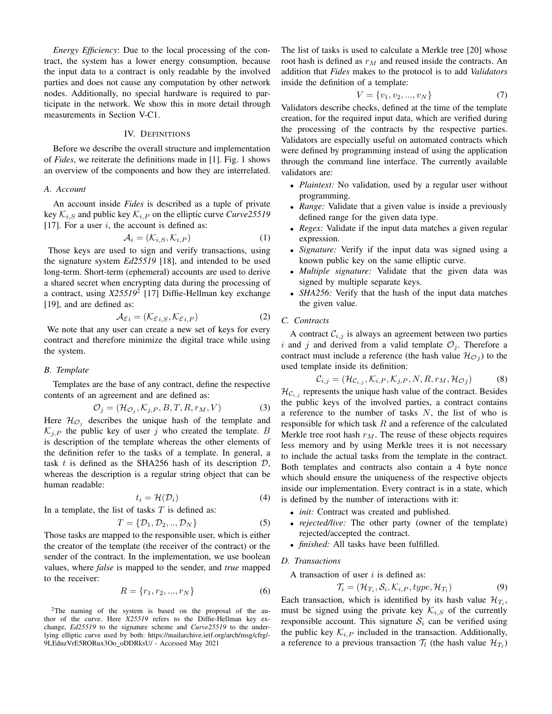*Energy Efficiency*: Due to the local processing of the contract, the system has a lower energy consumption, because the input data to a contract is only readable by the involved parties and does not cause any computation by other network nodes. Additionally, no special hardware is required to participate in the network. We show this in more detail through measurements in Section V-C1.

# IV. DEFINITIONS

Before we describe the overall structure and implementation of *Fides*, we reiterate the definitions made in [1]. Fig. 1 shows an overview of the components and how they are interrelated.

### *A. Account*

An account inside *Fides* is described as a tuple of private key  $\mathcal{K}_{i,S}$  and public key  $\mathcal{K}_{i,P}$  on the elliptic curve *Curve*25519 [17]. For a user  $i$ , the account is defined as:

$$
\mathcal{A}_i = (\mathcal{K}_{i,S}, \mathcal{K}_{i,P})
$$
\n(1)

Those keys are used to sign and verify transactions, using the signature system *Ed25519* [18], and intended to be used long-term. Short-term (ephemeral) accounts are used to derive a shared secret when encrypting data during the processing of a contract, using *X25519*<sup>2</sup> [17] Diffie-Hellman key exchange [19], and are defined as:

$$
\mathcal{A}_{\mathcal{E}i} = (\mathcal{K}_{\mathcal{E}i,S}, \mathcal{K}_{\mathcal{E}i,P})
$$
 (2)

We note that any user can create a new set of keys for every contract and therefore minimize the digital trace while using the system.

### *B. Template*

Templates are the base of any contract, define the respective contents of an agreement and are defined as:

$$
\mathcal{O}_j = (\mathcal{H}_{\mathcal{O}_j}, \mathcal{K}_{j,P}, B, T, R, r_M, V) \tag{3}
$$

Here  $\mathcal{H}_{\mathcal{O}_j}$  describes the unique hash of the template and  $\mathcal{K}_{j,P}$  the public key of user j who created the template. B is description of the template whereas the other elements of the definition refer to the tasks of a template. In general, a task t is defined as the SHA256 hash of its description  $\mathcal{D}$ , whereas the description is a regular string object that can be human readable:

$$
t_i = \mathcal{H}(\mathcal{D}_i) \tag{4}
$$

In a template, the list of tasks  $T$  is defined as:

$$
T = \{D_1, D_2, \dots, D_N\} \tag{5}
$$

Those tasks are mapped to the responsible user, which is either the creator of the template (the receiver of the contract) or the sender of the contract. In the implementation, we use boolean values, where *false* is mapped to the sender, and *true* mapped to the receiver:

$$
R = \{r_1, r_2, ..., r_N\}
$$
 (6)

<sup>2</sup>The naming of the system is based on the proposal of the author of the curve. Here *X25519* refers to the Diffie-Hellman key exchange, *Ed25519* to the signature scheme and *Curve25519* to the underlying elliptic curve used by both: https://mailarchive.ietf.org/arch/msg/cfrg/- 9LEdnzVrE5RORux3Oo oDDRksU/ - Accessed May 2021

The list of tasks is used to calculate a Merkle tree [20] whose root hash is defined as  $r_M$  and reused inside the contracts. An addition that *Fides* makes to the protocol is to add *Validators* inside the definition of a template:

$$
V = \{v_1, v_2, ..., v_N\}
$$
 (7)

Validators describe checks, defined at the time of the template creation, for the required input data, which are verified during the processing of the contracts by the respective parties. Validators are especially useful on automated contracts which were defined by programming instead of using the application through the command line interface. The currently available validators are:

- *Plaintext:* No validation, used by a regular user without programming.
- *Range:* Validate that a given value is inside a previously defined range for the given data type.
- *Regex:* Validate if the input data matches a given regular expression.
- *Signature:* Verify if the input data was signed using a known public key on the same elliptic curve.
- *Multiple signature:* Validate that the given data was signed by multiple separate keys.
- *SHA256:* Verify that the hash of the input data matches the given value.

### *C. Contracts*

A contract  $C_{i,j}$  is always an agreement between two parties i and j and derived from a valid template  $\mathcal{O}_j$ . Therefore a contract must include a reference (the hash value  $\mathcal{H}_{\mathcal{O}_j}$ ) to the used template inside its definition:

$$
\mathcal{C}_{i,j} = (\mathcal{H}_{\mathcal{C}_{i,j}}, \mathcal{K}_{i,P}, \mathcal{K}_{j,P}, N, R, r_M, \mathcal{H}_{\mathcal{O}_j})
$$
(8)

 $\mathcal{H}_{\mathcal{C}_{i,j}}$  represents the unique hash value of the contract. Besides the public keys of the involved parties, a contract contains a reference to the number of tasks  $N$ , the list of who is responsible for which task  $R$  and a reference of the calculated Merkle tree root hash  $r_M$ . The reuse of these objects requires less memory and by using Merkle trees it is not necessary to include the actual tasks from the template in the contract. Both templates and contracts also contain a 4 byte nonce which should ensure the uniqueness of the respective objects inside our implementation. Every contract is in a state, which is defined by the number of interactions with it:

- *init:* Contract was created and published.
- *rejected/live:* The other party (owner of the template) rejected/accepted the contract.
- *finished:* All tasks have been fulfilled.

# *D. Transactions*

A transaction of user  $i$  is defined as:

$$
\mathcal{T}_i = (\mathcal{H}_{T_i}, \mathcal{S}_i, \mathcal{K}_{i,P}, type, \mathcal{H}_{T_i})
$$
\n(9)

Each transaction, which is identified by its hash value  $\mathcal{H}_{T_i}$ , must be signed using the private key  $\mathcal{K}_{i,S}$  of the currently responsible account. This signature  $S_i$  can be verified using the public key  $\mathcal{K}_{i,P}$  included in the transaction. Additionally, a reference to a previous transaction  $\mathcal{T}_l$  (the hash value  $\mathcal{H}_{T_l}$ )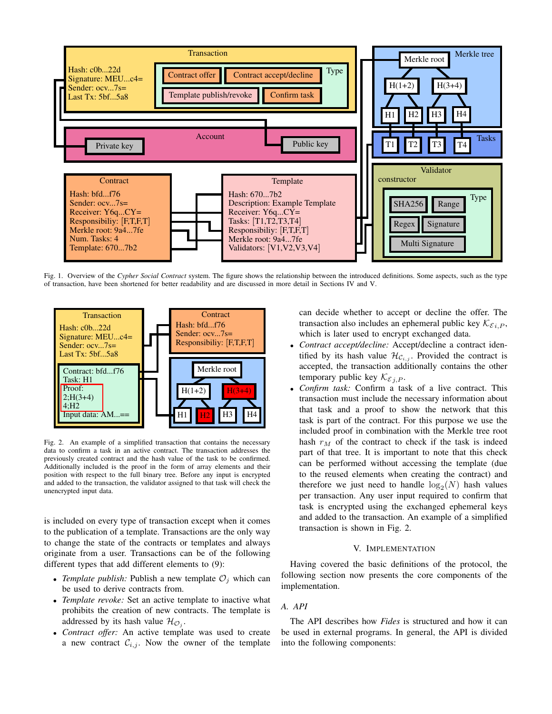

Fig. 1. Overview of the *Cypher Social Contract* system. The figure shows the relationship between the introduced definitions. Some aspects, such as the type of transaction, have been shortened for better readability and are discussed in more detail in Sections IV and V.



Fig. 2. An example of a simplified transaction that contains the necessary data to confirm a task in an active contract. The transaction addresses the previously created contract and the hash value of the task to be confirmed. Additionally included is the proof in the form of array elements and their position with respect to the full binary tree. Before any input is encrypted and added to the transaction, the validator assigned to that task will check the unencrypted input data.

is included on every type of transaction except when it comes to the publication of a template. Transactions are the only way to change the state of the contracts or templates and always originate from a user. Transactions can be of the following different types that add different elements to (9):

- *Template publish:* Publish a new template  $\mathcal{O}_i$  which can be used to derive contracts from.
- *Template revoke:* Set an active template to inactive what prohibits the creation of new contracts. The template is addressed by its hash value  $\mathcal{H}_{\mathcal{O}_j}$ .
- *Contract offer:* An active template was used to create a new contract  $\mathcal{C}_{i,j}$ . Now the owner of the template

can decide whether to accept or decline the offer. The transaction also includes an ephemeral public key  $\mathcal{K}_{\mathcal{E}i,P}$ , which is later used to encrypt exchanged data.

- *Contract accept/decline:* Accept/decline a contract identified by its hash value  $\mathcal{H}_{\mathcal{C}_{i,j}}$ . Provided the contract is accepted, the transaction additionally contains the other temporary public key  $\mathcal{K}_{\varepsilon,i,P}$ .
- *Confirm task:* Confirm a task of a live contract. This transaction must include the necessary information about that task and a proof to show the network that this task is part of the contract. For this purpose we use the included proof in combination with the Merkle tree root hash  $r_M$  of the contract to check if the task is indeed part of that tree. It is important to note that this check can be performed without accessing the template (due to the reused elements when creating the contract) and therefore we just need to handle  $log_2(N)$  hash values per transaction. Any user input required to confirm that task is encrypted using the exchanged ephemeral keys and added to the transaction. An example of a simplified transaction is shown in Fig. 2.

# V. IMPLEMENTATION

Having covered the basic definitions of the protocol, the following section now presents the core components of the implementation.

*A. API*

The API describes how *Fides* is structured and how it can be used in external programs. In general, the API is divided into the following components: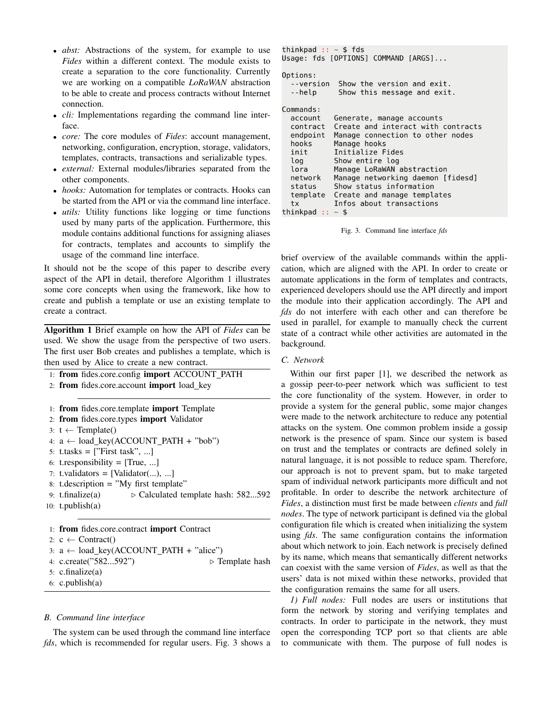- *abst:* Abstractions of the system, for example to use *Fides* within a different context. The module exists to create a separation to the core functionality. Currently we are working on a compatible *LoRaWAN* abstraction to be able to create and process contracts without Internet connection.
- *cli:* Implementations regarding the command line interface.
- *core:* The core modules of *Fides*: account management, networking, configuration, encryption, storage, validators, templates, contracts, transactions and serializable types.
- *external:* External modules/libraries separated from the other components.
- *hooks:* Automation for templates or contracts. Hooks can be started from the API or via the command line interface.
- *utils:* Utility functions like logging or time functions used by many parts of the application. Furthermore, this module contains additional functions for assigning aliases for contracts, templates and accounts to simplify the usage of the command line interface.

It should not be the scope of this paper to describe every aspect of the API in detail, therefore Algorithm 1 illustrates some core concepts when using the framework, like how to create and publish a template or use an existing template to create a contract.

Algorithm 1 Brief example on how the API of *Fides* can be used. We show the usage from the perspective of two users. The first user Bob creates and publishes a template, which is then used by Alice to create a new contract.

```
1: from fides.core.config import ACCOUNT PATH
```

```
2: from fides.core.account import load key
```

```
1: from fides.core.template import Template
```

```
2: from fides.core.types import Validator
```

```
3: t \leftarrow Template()
```

```
4: a \leftarrow load\_key(ACCOUNT\_PATH + "bob")
```

```
5: t.tasks = ["First task", ...]
```

```
6: t. responsibility = [True, ...]
```

```
7: t.validators = [Validator, \ldots],
```

```
8: t.description = "My first template"
```
9: t.finalize(a)  $\triangleright$  Calculated template hash: 582...592 10: t.publish(a)

```
1: from fides.core.contract import Contract
2: c \leftarrow Contract()
3: a \leftarrow load\_key(ACCOUNT\_PATH + "alice")4: c.create("582...592") \triangleright Template hash
5: c.finalize(a)
6: c.publish(a)
```
# *B. Command line interface*

The system can be used through the command line interface *fds*, which is recommended for regular users. Fig. 3 shows a

```
thinkpad :: \sim $ fds
Usage: fds [OPTIONS] COMMAND [ARGS]...
Options:
  --version
             Show the version and exit.
  --help
             Show this message and exit.
Commands:
  account
            Generate, manage accounts
            Create and interact with contracts
  contract
  endpoint
            Manage connection to other nodes
  hooks
            Manage hooks
  init
            Initialize Fides
  log
            Show entire log
  lora
            Manage LoRaWAN abstraction
  network
            Manage networking daemon [fidesd]
  status
            Show status information
  template
            Create and manage templates
            Infos about transactions
  tx
```

```
thinkpad :: \sim $
```
Fig. 3. Command line interface *fds*

brief overview of the available commands within the application, which are aligned with the API. In order to create or automate applications in the form of templates and contracts, experienced developers should use the API directly and import the module into their application accordingly. The API and *fds* do not interfere with each other and can therefore be used in parallel, for example to manually check the current state of a contract while other activities are automated in the background.

# *C. Network*

Within our first paper [1], we described the network as a gossip peer-to-peer network which was sufficient to test the core functionality of the system. However, in order to provide a system for the general public, some major changes were made to the network architecture to reduce any potential attacks on the system. One common problem inside a gossip network is the presence of spam. Since our system is based on trust and the templates or contracts are defined solely in natural language, it is not possible to reduce spam. Therefore, our approach is not to prevent spam, but to make targeted spam of individual network participants more difficult and not profitable. In order to describe the network architecture of *Fides*, a distinction must first be made between *clients* and *full nodes*. The type of network participant is defined via the global configuration file which is created when initializing the system using *fds*. The same configuration contains the information about which network to join. Each network is precisely defined by its name, which means that semantically different networks can coexist with the same version of *Fides*, as well as that the users' data is not mixed within these networks, provided that the configuration remains the same for all users.

*1) Full nodes:* Full nodes are users or institutions that form the network by storing and verifying templates and contracts. In order to participate in the network, they must open the corresponding TCP port so that clients are able to communicate with them. The purpose of full nodes is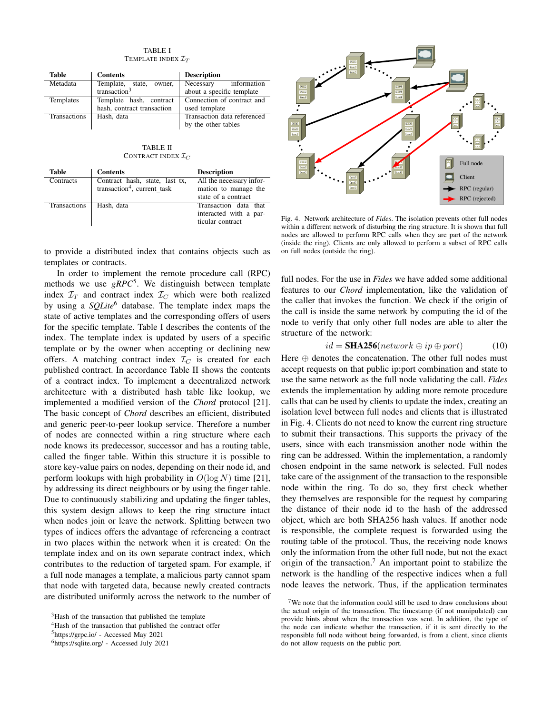### TABLE I TEMPLATE INDEX  $\mathcal{I}_T$

| <b>Table</b> | <b>Contents</b>            | <b>Description</b>          |
|--------------|----------------------------|-----------------------------|
| Metadata     | Template, state, owner,    | information<br>Necessary    |
|              | transaction $3$            | about a specific template   |
| Templates    | Template hash, contract    | Connection of contract and  |
|              | hash, contract transaction | used template               |
| Transactions | Hash, data                 | Transaction data referenced |
|              |                            | by the other tables         |

TABLE II CONTRACT INDEX  $\mathcal{I}_C$ 

| <b>Table</b>        | <b>Contents</b>                                                           | <b>Description</b>                                                      |
|---------------------|---------------------------------------------------------------------------|-------------------------------------------------------------------------|
| Contracts           | Contract hash, state, last_tx,<br>transaction <sup>4</sup> , current task | All the necessary infor-<br>mation to manage the<br>state of a contract |
| <b>Transactions</b> | Hash, data                                                                | Transaction data that<br>interacted with a par-<br>ticular contract     |



In order to implement the remote procedure call (RPC) methods we use *gRPC*<sup>5</sup> . We distinguish between template index  $\mathcal{I}_T$  and contract index  $\mathcal{I}_C$  which were both realized by using a *SQLite*<sup>6</sup> database. The template index maps the state of active templates and the corresponding offers of users for the specific template. Table I describes the contents of the index. The template index is updated by users of a specific template or by the owner when accepting or declining new offers. A matching contract index  $\mathcal{I}_C$  is created for each published contract. In accordance Table II shows the contents of a contract index. To implement a decentralized network architecture with a distributed hash table like lookup, we implemented a modified version of the *Chord* protocol [21]. The basic concept of *Chord* describes an efficient, distributed and generic peer-to-peer lookup service. Therefore a number of nodes are connected within a ring structure where each node knows its predecessor, successor and has a routing table, called the finger table. Within this structure it is possible to store key-value pairs on nodes, depending on their node id, and perform lookups with high probability in  $O(\log N)$  time [21], by addressing its direct neighbours or by using the finger table. Due to continuously stabilizing and updating the finger tables, this system design allows to keep the ring structure intact when nodes join or leave the network. Splitting between two types of indices offers the advantage of referencing a contract in two places within the network when it is created: On the template index and on its own separate contract index, which contributes to the reduction of targeted spam. For example, if a full node manages a template, a malicious party cannot spam that node with targeted data, because newly created contracts are distributed uniformly across the network to the number of



<sup>&</sup>lt;sup>4</sup>Hash of the transaction that published the contract offer



Fig. 4. Network architecture of *Fides*. The isolation prevents other full nodes within a different network of disturbing the ring structure. It is shown that full nodes are allowed to perform RPC calls when they are part of the network (inside the ring). Clients are only allowed to perform a subset of RPC calls on full nodes (outside the ring).

full nodes. For the use in *Fides* we have added some additional features to our *Chord* implementation, like the validation of the caller that invokes the function. We check if the origin of the call is inside the same network by computing the id of the node to verify that only other full nodes are able to alter the structure of the network:

$$
id = \mathbf{SHA256}(network \oplus ip \oplus port) \tag{10}
$$

Here  $\oplus$  denotes the concatenation. The other full nodes must accept requests on that public ip:port combination and state to use the same network as the full node validating the call. *Fides* extends the implementation by adding more remote procedure calls that can be used by clients to update the index, creating an isolation level between full nodes and clients that is illustrated in Fig. 4. Clients do not need to know the current ring structure to submit their transactions. This supports the privacy of the users, since with each transmission another node within the ring can be addressed. Within the implementation, a randomly chosen endpoint in the same network is selected. Full nodes take care of the assignment of the transaction to the responsible node within the ring. To do so, they first check whether they themselves are responsible for the request by comparing the distance of their node id to the hash of the addressed object, which are both SHA256 hash values. If another node is responsible, the complete request is forwarded using the routing table of the protocol. Thus, the receiving node knows only the information from the other full node, but not the exact origin of the transaction.<sup>7</sup> An important point to stabilize the network is the handling of the respective indices when a full node leaves the network. Thus, if the application terminates

<sup>5</sup>https://grpc.io/ - Accessed May 2021

<sup>6</sup>https://sqlite.org/ - Accessed July 2021

<sup>&</sup>lt;sup>7</sup>We note that the information could still be used to draw conclusions about the actual origin of the transaction. The timestamp (if not manipulated) can provide hints about when the transaction was sent. In addition, the type of the node can indicate whether the transaction, if it is sent directly to the responsible full node without being forwarded, is from a client, since clients do not allow requests on the public port.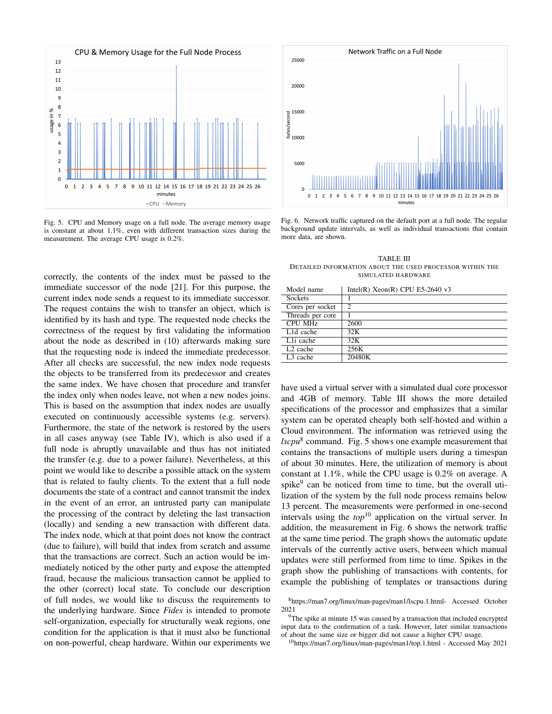

Fig. 5. CPU and Memory usage on a full node. The average memory usage is constant at about 1.1%, even with different transaction sizes during the measurement. The average CPU usage is 0.2%.

correctly, the contents of the index must be passed to the immediate successor of the node [21]. For this purpose, the current index node sends a request to its immediate successor. The request contains the wish to transfer an object, which is identified by its hash and type. The requested node checks the correctness of the request by first validating the information about the node as described in (10) afterwards making sure that the requesting node is indeed the immediate predecessor. After all checks are successful, the new index node requests the objects to be transferred from its predecessor and creates the same index. We have chosen that procedure and transfer the index only when nodes leave, not when a new nodes joins. This is based on the assumption that index nodes are usually executed on continuously accessible systems (e.g. servers). Furthermore, the state of the network is restored by the users in all cases anyway (see Table IV), which is also used if a full node is abruptly unavailable and thus has not initiated the transfer (e.g. due to a power failure). Nevertheless, at this point we would like to describe a possible attack on the system that is related to faulty clients. To the extent that a full node documents the state of a contract and cannot transmit the index in the event of an error, an untrusted party can manipulate the processing of the contract by deleting the last transaction (locally) and sending a new transaction with different data. The index node, which at that point does not know the contract (due to failure), will build that index from scratch and assume that the transactions are correct. Such an action would be immediately noticed by the other party and expose the attempted fraud, because the malicious transaction cannot be applied to the other (correct) local state. To conclude our description of full nodes, we would like to discuss the requirements to the underlying hardware. Since *Fides* is intended to promote self-organization, especially for structurally weak regions, one condition for the application is that it must also be functional on non-powerful, cheap hardware. Within our experiments we



Fig. 6. Network traffic captured on the default port at a full node. The regular background update intervals, as well as individual transactions that contain more data, are shown.

TABLE III DETAILED INFORMATION ABOUT THE USED PROCESSOR WITHIN THE SIMULATED HARDWARE

| Model name             | Intel(R) $Xeon(R)$ CPU E5-2640 v3 |
|------------------------|-----------------------------------|
| <b>Sockets</b>         |                                   |
| Cores per socket       | 2                                 |
| Threads per core       |                                   |
| <b>CPU MHz</b>         | 2600                              |
| L <sub>1</sub> d cache | 32K                               |
| L <sub>1</sub> i cache | 32K                               |
| L <sub>2</sub> cache   | 256K                              |
| L <sub>3</sub> cache   | 20480K                            |

have used a virtual server with a simulated dual core processor and 4GB of memory. Table III shows the more detailed specifications of the processor and emphasizes that a similar system can be operated cheaply both self-hosted and within a Cloud environment. The information was retrieved using the *lscpu*<sup>8</sup> command. Fig. 5 shows one example measurement that contains the transactions of multiple users during a timespan of about 30 minutes. Here, the utilization of memory is about constant at 1.1%, while the CPU usage is 0.2% on average. A spike<sup>9</sup> can be noticed from time to time, but the overall utilization of the system by the full node process remains below 13 percent. The measurements were performed in one-second intervals using the  $top^{10}$  application on the virtual server. In addition, the measurement in Fig. 6 shows the network traffic at the same time period. The graph shows the automatic update intervals of the currently active users, between which manual updates were still performed from time to time. Spikes in the graph show the publishing of transactions with contents, for example the publishing of templates or transactions during

<sup>10</sup>https://man7.org/linux/man-pages/man1/top.1.html - Accessed May 2021

<sup>8</sup>https://man7.org/linux/man-pages/man1/lscpu.1.html- Accessed October 2021

 $9$ The spike at minute 15 was caused by a transaction that included encrypted input data to the confirmation of a task. However, later similar transactions of about the same size or bigger did not cause a higher CPU usage.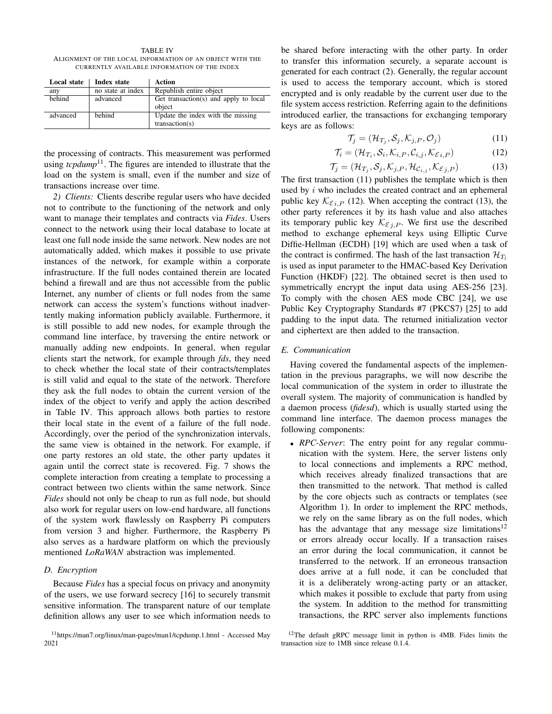TABLE IV ALIGNMENT OF THE LOCAL INFORMATION OF AN OBJECT WITH THE CURRENTLY AVAILABLE INFORMATION OF THE INDEX

| Local state | Index state       | Action                                |
|-------------|-------------------|---------------------------------------|
| any         | no state at index | Republish entire object               |
| hehind      | advanced          | Get transaction(s) and apply to local |
|             |                   | object                                |
| advanced    | behind            | Update the index with the missing     |
|             |                   | transaction(s)                        |

the processing of contracts. This measurement was performed using  $tcpdump<sup>11</sup>$ . The figures are intended to illustrate that the load on the system is small, even if the number and size of transactions increase over time.

*2) Clients:* Clients describe regular users who have decided not to contribute to the functioning of the network and only want to manage their templates and contracts via *Fides*. Users connect to the network using their local database to locate at least one full node inside the same network. New nodes are not automatically added, which makes it possible to use private instances of the network, for example within a corporate infrastructure. If the full nodes contained therein are located behind a firewall and are thus not accessible from the public Internet, any number of clients or full nodes from the same network can access the system's functions without inadvertently making information publicly available. Furthermore, it is still possible to add new nodes, for example through the command line interface, by traversing the entire network or manually adding new endpoints. In general, when regular clients start the network, for example through *fds*, they need to check whether the local state of their contracts/templates is still valid and equal to the state of the network. Therefore they ask the full nodes to obtain the current version of the index of the object to verify and apply the action described in Table IV. This approach allows both parties to restore their local state in the event of a failure of the full node. Accordingly, over the period of the synchronization intervals, the same view is obtained in the network. For example, if one party restores an old state, the other party updates it again until the correct state is recovered. Fig. 7 shows the complete interaction from creating a template to processing a contract between two clients within the same network. Since *Fides* should not only be cheap to run as full node, but should also work for regular users on low-end hardware, all functions of the system work flawlessly on Raspberry Pi computers from version 3 and higher. Furthermore, the Raspberry Pi also serves as a hardware platform on which the previously mentioned *LoRaWAN* abstraction was implemented.

### *D. Encryption*

Because *Fides* has a special focus on privacy and anonymity of the users, we use forward secrecy [16] to securely transmit sensitive information. The transparent nature of our template definition allows any user to see which information needs to be shared before interacting with the other party. In order to transfer this information securely, a separate account is generated for each contract (2). Generally, the regular account is used to access the temporary account, which is stored encrypted and is only readable by the current user due to the file system access restriction. Referring again to the definitions introduced earlier, the transactions for exchanging temporary keys are as follows:

$$
\mathcal{T}_j = (\mathcal{H}_{T_j}, \mathcal{S}_j, \mathcal{K}_{j,P}, \mathcal{O}_j) \tag{11}
$$

$$
\mathcal{T}_i = (\mathcal{H}_{T_i}, \mathcal{S}_i, \mathcal{K}_{i,P}, \mathcal{C}_{i,j}, \mathcal{K}_{\mathcal{E}i,P})
$$
(12)

$$
\mathcal{T}_j = (\mathcal{H}_{T_j}, \mathcal{S}_j, \mathcal{K}_{j,P}, \mathcal{H}_{\mathcal{C}_{i,j}}, \mathcal{K}_{\mathcal{E}_{j,P}})
$$
(13)

The first transaction (11) publishes the template which is then used by  $i$  who includes the created contract and an ephemeral public key  $\mathcal{K}_{\mathcal{E}_i,P}$  (12). When accepting the contract (13), the other party references it by its hash value and also attaches its temporary public key  $\mathcal{K}_{\mathcal{E}_i,P}$ . We first use the described method to exchange ephemeral keys using Elliptic Curve Diffie-Hellman (ECDH) [19] which are used when a task of the contract is confirmed. The hash of the last transaction  $\mathcal{H}_{T_1}$ is used as input parameter to the HMAC-based Key Derivation Function (HKDF) [22]. The obtained secret is then used to symmetrically encrypt the input data using AES-256 [23]. To comply with the chosen AES mode CBC [24], we use Public Key Cryptography Standards #7 (PKCS7) [25] to add padding to the input data. The returned initialization vector and ciphertext are then added to the transaction.

## *E. Communication*

Having covered the fundamental aspects of the implementation in the previous paragraphs, we will now describe the local communication of the system in order to illustrate the overall system. The majority of communication is handled by a daemon process (*fidesd*), which is usually started using the command line interface. The daemon process manages the following components:

• *RPC-Server*: The entry point for any regular communication with the system. Here, the server listens only to local connections and implements a RPC method, which receives already finalized transactions that are then transmitted to the network. That method is called by the core objects such as contracts or templates (see Algorithm 1). In order to implement the RPC methods, we rely on the same library as on the full nodes, which has the advantage that any message size limitations<sup>12</sup> or errors already occur locally. If a transaction raises an error during the local communication, it cannot be transferred to the network. If an erroneous transaction does arrive at a full node, it can be concluded that it is a deliberately wrong-acting party or an attacker, which makes it possible to exclude that party from using the system. In addition to the method for transmitting transactions, the RPC server also implements functions

<sup>11</sup>https://man7.org/linux/man-pages/man1/tcpdump.1.html - Accessed May 2021

 $12$ The default gRPC message limit in python is 4MB. Fides limits the transaction size to 1MB since release 0.1.4.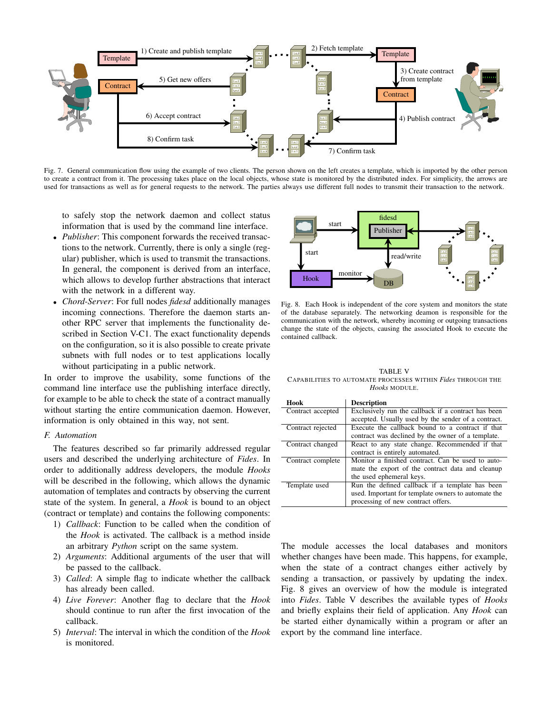

Fig. 7. General communication flow using the example of two clients. The person shown on the left creates a template, which is imported by the other person to create a contract from it. The processing takes place on the local objects, whose state is monitored by the distributed index. For simplicity, the arrows are used for transactions as well as for general requests to the network. The parties always use different full nodes to transmit their transaction to the network.

to safely stop the network daemon and collect status information that is used by the command line interface.

- *Publisher*: This component forwards the received transactions to the network. Currently, there is only a single (regular) publisher, which is used to transmit the transactions. In general, the component is derived from an interface, which allows to develop further abstractions that interact with the network in a different way.
- *Chord-Server*: For full nodes *fidesd* additionally manages incoming connections. Therefore the daemon starts another RPC server that implements the functionality described in Section V-C1. The exact functionality depends on the configuration, so it is also possible to create private subnets with full nodes or to test applications locally without participating in a public network.

In order to improve the usability, some functions of the command line interface use the publishing interface directly, for example to be able to check the state of a contract manually without starting the entire communication daemon. However, information is only obtained in this way, not sent.

# *F. Automation*

The features described so far primarily addressed regular users and described the underlying architecture of *Fides*. In order to additionally address developers, the module *Hooks* will be described in the following, which allows the dynamic automation of templates and contracts by observing the current state of the system. In general, a *Hook* is bound to an object (contract or template) and contains the following components:

- 1) *Callback*: Function to be called when the condition of the *Hook* is activated. The callback is a method inside an arbitrary *Python* script on the same system.
- 2) *Arguments*: Additional arguments of the user that will be passed to the callback.
- 3) *Called*: A simple flag to indicate whether the callback has already been called.
- 4) *Live Forever*: Another flag to declare that the *Hook* should continue to run after the first invocation of the callback.
- 5) *Interval*: The interval in which the condition of the *Hook* is monitored.



Fig. 8. Each Hook is independent of the core system and monitors the state of the database separately. The networking deamon is responsible for the communication with the network, whereby incoming or outgoing transactions change the state of the objects, causing the associated Hook to execute the contained callback.

TABLE V CAPABILITIES TO AUTOMATE PROCESSES WITHIN *Fides* THROUGH THE *Hooks* MODULE.

| Hook              | <b>Description</b>                                  |
|-------------------|-----------------------------------------------------|
| Contract accepted | Exclusively run the callback if a contract has been |
|                   | accepted. Usually used by the sender of a contract. |
| Contract rejected | Execute the callback bound to a contract if that    |
|                   | contract was declined by the owner of a template.   |
| Contract changed  | React to any state change. Recommended if that      |
|                   | contract is entirely automated.                     |
| Contract complete | Monitor a finished contract. Can be used to auto-   |
|                   | mate the export of the contract data and cleanup    |
|                   | the used ephemeral keys.                            |
| Template used     | Run the defined callback if a template has been     |
|                   | used. Important for template owners to automate the |
|                   | processing of new contract offers.                  |

The module accesses the local databases and monitors whether changes have been made. This happens, for example, when the state of a contract changes either actively by sending a transaction, or passively by updating the index. Fig. 8 gives an overview of how the module is integrated into *Fides*. Table V describes the available types of *Hooks* and briefly explains their field of application. Any *Hook* can be started either dynamically within a program or after an export by the command line interface.